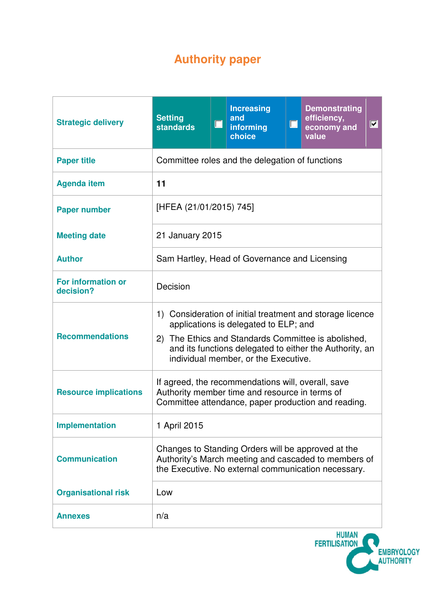# **Authority paper**

| <b>Strategic delivery</b>              | <b>Setting</b><br><b>standards</b>                                                                                                                                                                                                                               | $\Box$ | <b>Increasing</b><br>and<br>informing<br>choice | $\Box$ | <b>Demonstrating</b><br>efficiency,<br>$ \overline{\mathbf{v}} $<br>economy and<br>value |  |  |
|----------------------------------------|------------------------------------------------------------------------------------------------------------------------------------------------------------------------------------------------------------------------------------------------------------------|--------|-------------------------------------------------|--------|------------------------------------------------------------------------------------------|--|--|
| <b>Paper title</b>                     | Committee roles and the delegation of functions                                                                                                                                                                                                                  |        |                                                 |        |                                                                                          |  |  |
| <b>Agenda item</b>                     | 11                                                                                                                                                                                                                                                               |        |                                                 |        |                                                                                          |  |  |
| <b>Paper number</b>                    | [HFEA (21/01/2015) 745]                                                                                                                                                                                                                                          |        |                                                 |        |                                                                                          |  |  |
| <b>Meeting date</b>                    | 21 January 2015                                                                                                                                                                                                                                                  |        |                                                 |        |                                                                                          |  |  |
| <b>Author</b>                          | Sam Hartley, Head of Governance and Licensing                                                                                                                                                                                                                    |        |                                                 |        |                                                                                          |  |  |
| <b>For information or</b><br>decision? | Decision                                                                                                                                                                                                                                                         |        |                                                 |        |                                                                                          |  |  |
| <b>Recommendations</b>                 | 1) Consideration of initial treatment and storage licence<br>applications is delegated to ELP; and<br>The Ethics and Standards Committee is abolished,<br>(2)<br>and its functions delegated to either the Authority, an<br>individual member, or the Executive. |        |                                                 |        |                                                                                          |  |  |
| <b>Resource implications</b>           | If agreed, the recommendations will, overall, save<br>Authority member time and resource in terms of<br>Committee attendance, paper production and reading.                                                                                                      |        |                                                 |        |                                                                                          |  |  |
| <b>Implementation</b>                  | 1 April 2015                                                                                                                                                                                                                                                     |        |                                                 |        |                                                                                          |  |  |
| <b>Communication</b>                   | Changes to Standing Orders will be approved at the<br>Authority's March meeting and cascaded to members of<br>the Executive. No external communication necessary.                                                                                                |        |                                                 |        |                                                                                          |  |  |
| <b>Organisational risk</b>             | Low                                                                                                                                                                                                                                                              |        |                                                 |        |                                                                                          |  |  |
| <b>Annexes</b>                         | n/a                                                                                                                                                                                                                                                              |        |                                                 |        |                                                                                          |  |  |

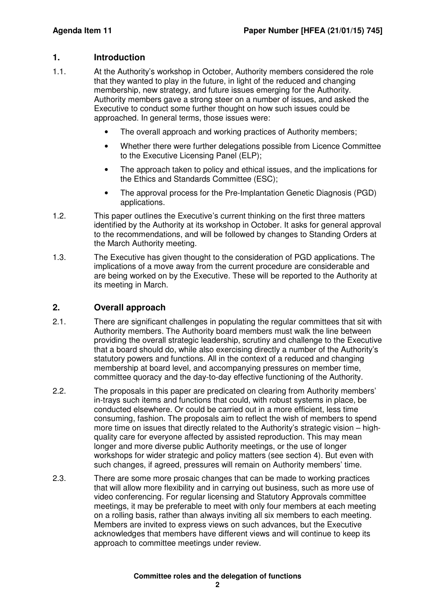## **1. Introduction**

- 1.1. At the Authority's workshop in October, Authority members considered the role that they wanted to play in the future, in light of the reduced and changing membership, new strategy, and future issues emerging for the Authority. Authority members gave a strong steer on a number of issues, and asked the Executive to conduct some further thought on how such issues could be approached. In general terms, those issues were:
	- The overall approach and working practices of Authority members;
	- Whether there were further delegations possible from Licence Committee to the Executive Licensing Panel (ELP);
	- The approach taken to policy and ethical issues, and the implications for the Ethics and Standards Committee (ESC);
	- The approval process for the Pre-Implantation Genetic Diagnosis (PGD) applications.
- 1.2. This paper outlines the Executive's current thinking on the first three matters identified by the Authority at its workshop in October. It asks for general approval to the recommendations, and will be followed by changes to Standing Orders at the March Authority meeting.
- 1.3. The Executive has given thought to the consideration of PGD applications. The implications of a move away from the current procedure are considerable and are being worked on by the Executive. These will be reported to the Authority at its meeting in March.

## **2. Overall approach**

- 2.1. There are significant challenges in populating the regular committees that sit with Authority members. The Authority board members must walk the line between providing the overall strategic leadership, scrutiny and challenge to the Executive that a board should do, while also exercising directly a number of the Authority's statutory powers and functions. All in the context of a reduced and changing membership at board level, and accompanying pressures on member time, committee quoracy and the day-to-day effective functioning of the Authority.
- 2.2. The proposals in this paper are predicated on clearing from Authority members' in-trays such items and functions that could, with robust systems in place, be conducted elsewhere. Or could be carried out in a more efficient, less time consuming, fashion. The proposals aim to reflect the wish of members to spend more time on issues that directly related to the Authority's strategic vision – highquality care for everyone affected by assisted reproduction. This may mean longer and more diverse public Authority meetings, or the use of longer workshops for wider strategic and policy matters (see section 4). But even with such changes, if agreed, pressures will remain on Authority members' time.
- 2.3. There are some more prosaic changes that can be made to working practices that will allow more flexibility and in carrying out business, such as more use of video conferencing. For regular licensing and Statutory Approvals committee meetings, it may be preferable to meet with only four members at each meeting on a rolling basis, rather than always inviting all six members to each meeting. Members are invited to express views on such advances, but the Executive acknowledges that members have different views and will continue to keep its approach to committee meetings under review.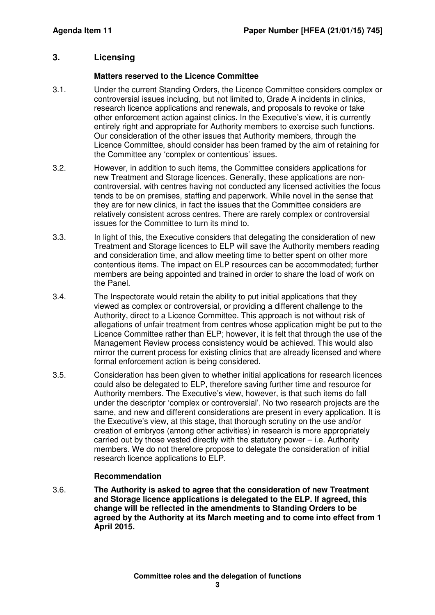## **3. Licensing**

#### **Matters reserved to the Licence Committee**

- 3.1. Under the current Standing Orders, the Licence Committee considers complex or controversial issues including, but not limited to, Grade A incidents in clinics, research licence applications and renewals, and proposals to revoke or take other enforcement action against clinics. In the Executive's view, it is currently entirely right and appropriate for Authority members to exercise such functions. Our consideration of the other issues that Authority members, through the Licence Committee, should consider has been framed by the aim of retaining for the Committee any 'complex or contentious' issues.
- 3.2. However, in addition to such items, the Committee considers applications for new Treatment and Storage licences. Generally, these applications are noncontroversial, with centres having not conducted any licensed activities the focus tends to be on premises, staffing and paperwork. While novel in the sense that they are for new clinics, in fact the issues that the Committee considers are relatively consistent across centres. There are rarely complex or controversial issues for the Committee to turn its mind to.
- 3.3. In light of this, the Executive considers that delegating the consideration of new Treatment and Storage licences to ELP will save the Authority members reading and consideration time, and allow meeting time to better spent on other more contentious items. The impact on ELP resources can be accommodated; further members are being appointed and trained in order to share the load of work on the Panel.
- 3.4. The Inspectorate would retain the ability to put initial applications that they viewed as complex or controversial, or providing a different challenge to the Authority, direct to a Licence Committee. This approach is not without risk of allegations of unfair treatment from centres whose application might be put to the Licence Committee rather than ELP; however, it is felt that through the use of the Management Review process consistency would be achieved. This would also mirror the current process for existing clinics that are already licensed and where formal enforcement action is being considered.
- 3.5. Consideration has been given to whether initial applications for research licences could also be delegated to ELP, therefore saving further time and resource for Authority members. The Executive's view, however, is that such items do fall under the descriptor 'complex or controversial'. No two research projects are the same, and new and different considerations are present in every application. It is the Executive's view, at this stage, that thorough scrutiny on the use and/or creation of embryos (among other activities) in research is more appropriately carried out by those vested directly with the statutory power – i.e. Authority members. We do not therefore propose to delegate the consideration of initial research licence applications to ELP.

### **Recommendation**

3.6. **The Authority is asked to agree that the consideration of new Treatment and Storage licence applications is delegated to the ELP. If agreed, this change will be reflected in the amendments to Standing Orders to be agreed by the Authority at its March meeting and to come into effect from 1 April 2015.**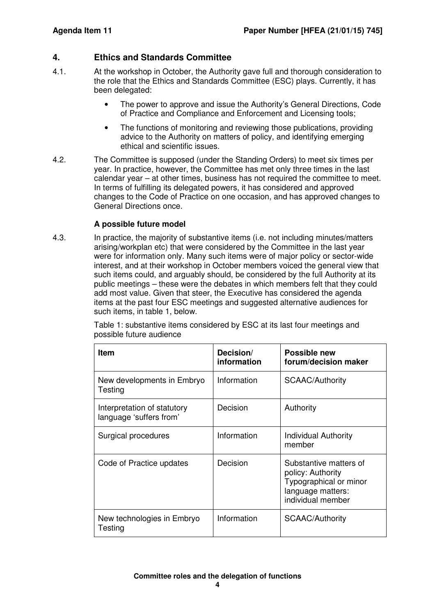## **4. Ethics and Standards Committee**

- 4.1. At the workshop in October, the Authority gave full and thorough consideration to the role that the Ethics and Standards Committee (ESC) plays. Currently, it has been delegated:
	- The power to approve and issue the Authority's General Directions, Code of Practice and Compliance and Enforcement and Licensing tools;
	- The functions of monitoring and reviewing those publications, providing advice to the Authority on matters of policy, and identifying emerging ethical and scientific issues.
- 4.2. The Committee is supposed (under the Standing Orders) to meet six times per year. In practice, however, the Committee has met only three times in the last calendar year – at other times, business has not required the committee to meet. In terms of fulfilling its delegated powers, it has considered and approved changes to the Code of Practice on one occasion, and has approved changes to General Directions once.

#### **A possible future model**

4.3. In practice, the majority of substantive items (i.e. not including minutes/matters arising/workplan etc) that were considered by the Committee in the last year were for information only. Many such items were of major policy or sector-wide interest, and at their workshop in October members voiced the general view that such items could, and arguably should, be considered by the full Authority at its public meetings – these were the debates in which members felt that they could add most value. Given that steer, the Executive has considered the agenda items at the past four ESC meetings and suggested alternative audiences for such items, in table 1, below.

> Table 1: substantive items considered by ESC at its last four meetings and possible future audience

| <b>Item</b>                                            | Decision/<br>information | <b>Possible new</b><br>forum/decision maker                                                                     |  |  |
|--------------------------------------------------------|--------------------------|-----------------------------------------------------------------------------------------------------------------|--|--|
| New developments in Embryo<br>Testing                  | Information              | <b>SCAAC/Authority</b>                                                                                          |  |  |
| Interpretation of statutory<br>language 'suffers from' | Decision                 | Authority                                                                                                       |  |  |
| Surgical procedures                                    | Information              | Individual Authority<br>member                                                                                  |  |  |
| Code of Practice updates                               | Decision                 | Substantive matters of<br>policy: Authority<br>Typographical or minor<br>language matters:<br>individual member |  |  |
| New technologies in Embryo<br>Testing                  | Information              | <b>SCAAC/Authority</b>                                                                                          |  |  |